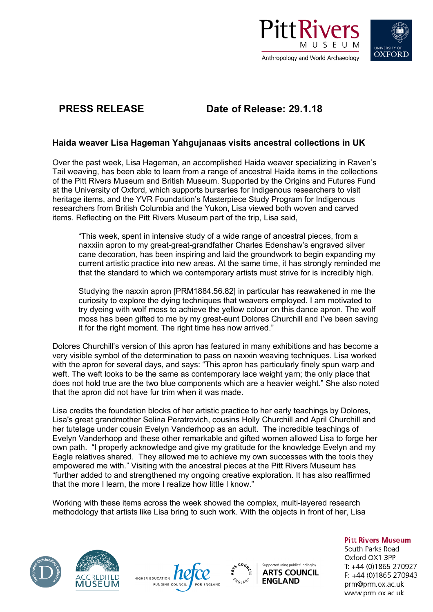



# **PRESS RELEASE Date of Release: 29.1.18**

## **Haida weaver Lisa Hageman Yahgujanaas visits ancestral collections in UK**

Over the past week, Lisa Hageman, an accomplished Haida weaver specializing in Raven's Tail weaving, has been able to learn from a range of ancestral Haida items in the collections of the Pitt Rivers Museum and British Museum. Supported by the Origins and Futures Fund at the University of Oxford, which supports bursaries for Indigenous researchers to visit heritage items, and the YVR Foundation's Masterpiece Study Program for Indigenous researchers from British Columbia and the Yukon, Lisa viewed both woven and carved items. Reflecting on the Pitt Rivers Museum part of the trip, Lisa said,

"This week, spent in intensive study of a wide range of ancestral pieces, from a naxxiin apron to my great-great-grandfather Charles Edenshaw's engraved silver cane decoration, has been inspiring and laid the groundwork to begin expanding my current artistic practice into new areas. At the same time, it has strongly reminded me that the standard to which we contemporary artists must strive for is incredibly high.

Studying the naxxin apron [PRM1884.56.82] in particular has reawakened in me the curiosity to explore the dying techniques that weavers employed. I am motivated to try dyeing with wolf moss to achieve the yellow colour on this dance apron. The wolf moss has been gifted to me by my great-aunt Dolores Churchill and I've been saving it for the right moment. The right time has now arrived."

Dolores Churchill's version of this apron has featured in many exhibitions and has become a very visible symbol of the determination to pass on naxxin weaving techniques. Lisa worked with the apron for several days, and says: "This apron has particularly finely spun warp and weft. The weft looks to be the same as contemporary lace weight yarn; the only place that does not hold true are the two blue components which are a heavier weight." She also noted that the apron did not have fur trim when it was made.

Lisa credits the foundation blocks of her artistic practice to her early teachings by Dolores, Lisa's great grandmother Selina Peratrovich, cousins Holly Churchill and April Churchill and her tutelage under cousin Evelyn Vanderhoop as an adult. The incredible teachings of Evelyn Vanderhoop and these other remarkable and gifted women allowed Lisa to forge her own path. "I properly acknowledge and give my gratitude for the knowledge Evelyn and my Eagle relatives shared. They allowed me to achieve my own successes with the tools they empowered me with." Visiting with the ancestral pieces at the Pitt Rivers Museum has "further added to and strengthened my ongoing creative exploration. It has also reaffirmed that the more I learn, the more I realize how little I know."

Working with these items across the week showed the complex, multi-layered research methodology that artists like Lisa bring to such work. With the objects in front of her, Lisa









### **Pitt Rivers Museum**

South Parks Road Oxford OX1 3PP T: +44 (0)1865 270927 F: +44 (0)1865 270943 prm@prm.ox.ac.uk www.prm.ox.ac.uk